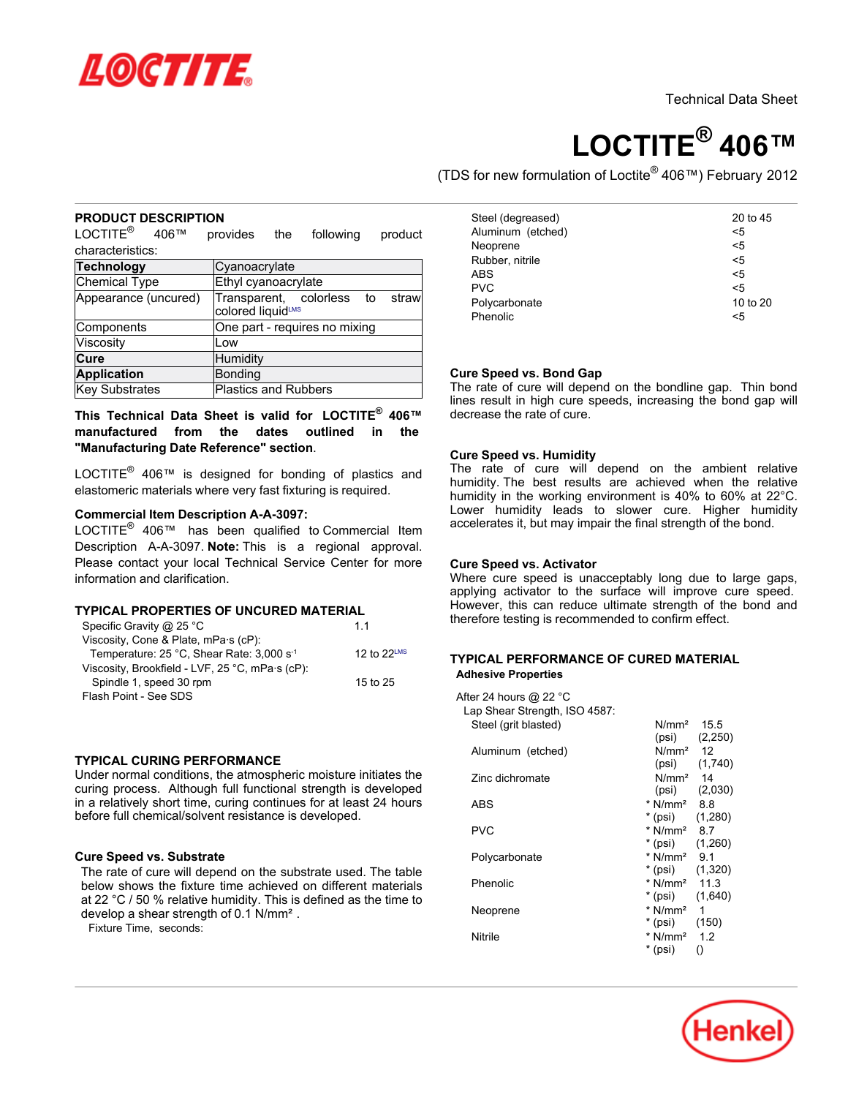

# **LOCTITE® 406™**

(TDS for new formulation of Loctite® 406™) February 2012

## **PRODUCT DESCRIPTION**

LOCTITE<sup>®</sup> 406™ provides the following product characteristics:

| <b>Technology</b>    | Cyanoacrylate                                           |
|----------------------|---------------------------------------------------------|
| Chemical Type        | Ethyl cyanoacrylate                                     |
| Appearance (uncured) | Transparent, colorless to<br>straw<br>colored liquidLMS |
| Components           | One part - requires no mixing                           |
| Viscosity            | Low                                                     |
| Cure                 | Humidity                                                |
| Application          | Bonding                                                 |
| Key Substrates       | <b>Plastics and Rubbers</b>                             |

**This Technical Data Sheet is valid for LOCTITE® 406™ manufactured from the dates outlined in the "Manufacturing Date Reference" section**.

LOCTITE $^{\circledR}$  406™ is designed for bonding of plastics and elastomeric materials where very fast fixturing is required.

## **Commercial Item Description A-A-3097:**

LOCTITE® 406™ has been qualified to Commercial Item Description A-A-3097. **Note:** This is a regional approval. Please contact your local Technical Service Center for more information and clarification.

## **TYPICAL PROPERTIES OF UNCURED MATERIAL**

| Specific Gravity @ 25 $^{\circ}$ C                    | 11               |
|-------------------------------------------------------|------------------|
| Viscosity, Cone & Plate, mPa·s (cP):                  |                  |
| Temperature: 25 °C, Shear Rate: 3,000 s <sup>-1</sup> | 12 to $22^{LMS}$ |
| Viscosity, Brookfield - LVF, 25 °C, mPa·s (cP):       |                  |
| Spindle 1, speed 30 rpm                               | 15 to 25         |
| Flash Point - See SDS                                 |                  |

## **TYPICAL CURING PERFORMANCE**

Under normal conditions, the atmospheric moisture initiates the curing process. Although full functional strength is developed in a relatively short time, curing continues for at least 24 hours before full chemical/solvent resistance is developed.

## **Cure Speed vs. Substrate**

The rate of cure will depend on the substrate used. The table below shows the fixture time achieved on different materials at 22 °C / 50 % relative humidity. This is defined as the time to develop a shear strength of 0.1 N/mm².

Fixture Time, seconds:

| Steel (degreased) | 20 to 45 |
|-------------------|----------|
| Aluminum (etched) | <5       |
| Neoprene          | <5       |
| Rubber, nitrile   | $5$      |
| <b>ABS</b>        | <5       |
| <b>PVC</b>        | $\leq 5$ |
| Polycarbonate     | 10 to 20 |
| Phenolic          | <5       |

## **Cure Speed vs. Bond Gap**

The rate of cure will depend on the bondline gap. Thin bond lines result in high cure speeds, increasing the bond gap will decrease the rate of cure.

## **Cure Speed vs. Humidity**

The rate of cure will depend on the ambient relative humidity. The best results are achieved when the relative humidity in the working environment is 40% to 60% at 22°C. Lower humidity leads to slower cure. Higher humidity accelerates it, but may impair the final strength of the bond.

## **Cure Speed vs. Activator**

Where cure speed is unacceptably long due to large gaps, applying activator to the surface will improve cure speed. However, this can reduce ultimate strength of the bond and therefore testing is recommended to confirm effect.

## **TYPICAL PERFORMANCE OF CURED MATERIAL Adhesive Properties**

After 24 hours @ 22 °C Lap Shear Strength, ISO 4587: Steel (grit blasted) N/mm<sup>2</sup> 15.5 (psi) (2,250) Aluminum (etched)  $N/mm^2$  12<br>(psi) (1.7)  $(1,740)$ Zinc dichromate N/mm² 14 (psi) (2,030) ABS \* N/mm² 8.8  $(1,280)$ PVC \* N/mm<sup>2</sup> 8.7<br>
\* (psi) (1,2  $(1,260)$ Polycarbonate \* N/mm<sup>2</sup> 9.1<br>\* (psi) (1,3  $(1,320)$ Phenolic \* N/mm<sup>2</sup> 11.3<br>\* (psi) (1,64)  $(1,640)$ Neoprene \* N/mm<sup>2</sup> 1<br>\* (psi) (150)  $*$  (psi) Nitrile  $N/mm^2$  1.2  $*(psi)$  ()

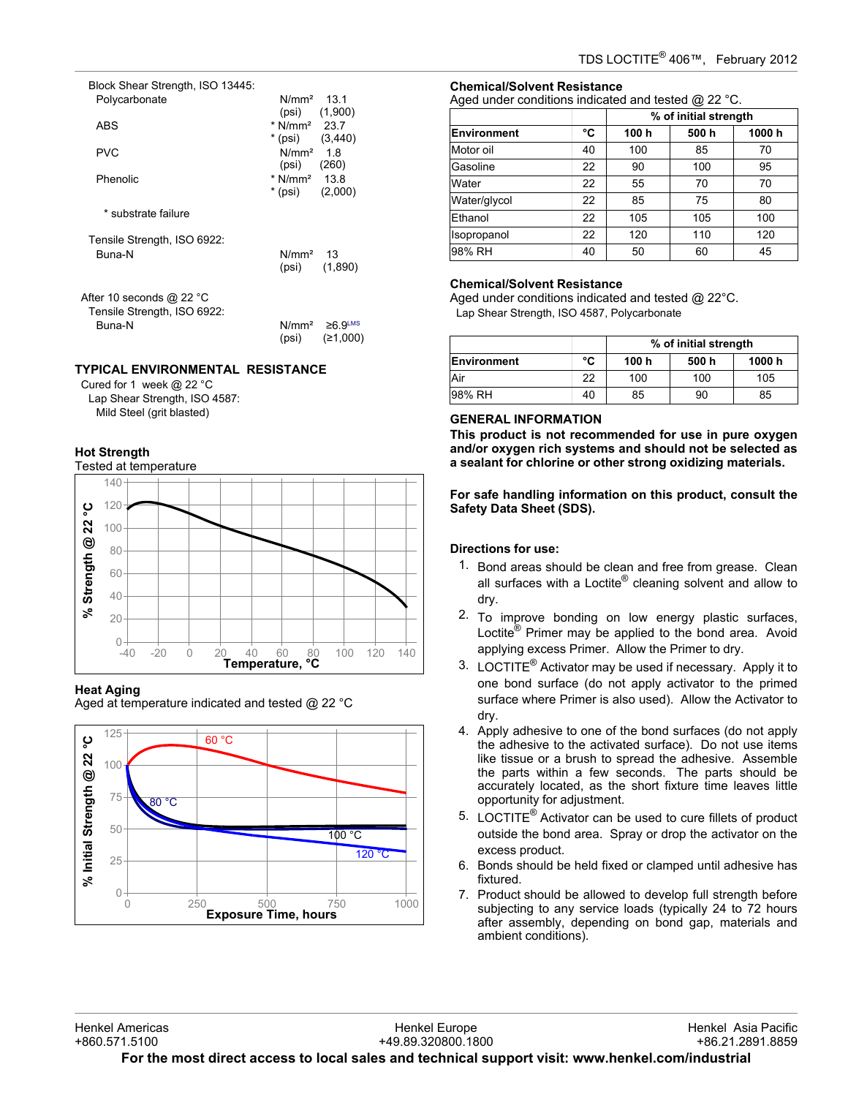| Block Shear Strength, ISO 13445:                                            |                                                              |
|-----------------------------------------------------------------------------|--------------------------------------------------------------|
| Polycarbonate                                                               | $N/mm^2$ 13.1<br>$(psi)$ $(1,900)$                           |
| <b>ABS</b>                                                                  | * $N/mm^2$ 23.7                                              |
| <b>PVC</b>                                                                  | $*(psi)$ $(3,440)$<br>N/mm <sup>2</sup> 1.8<br>$(psi)$ (260) |
| <b>Phenolic</b>                                                             | * $N/mm^2$ 13.8<br>* (psi) (2,000)                           |
| * substrate failure                                                         |                                                              |
| Tensile Strength, ISO 6922:<br>Buna-N                                       | N/mm <sup>2</sup> 13<br>$(psi)$ $(1,890)$                    |
| After 10 seconds @ 22 $^{\circ}$ C<br>Tensile Strength, ISO 6922:<br>Buna-N | $N/mm^2 \geq 6.9$ <sup>LMS</sup><br>(psi)<br>(≥1,000)        |

# **TYPICAL ENVIRONMENTAL RESISTANCE**

Cured for 1 week @ 22 °C Lap Shear Strength, ISO 4587: Mild Steel (grit blasted)

## **Hot Strength**



# **Heat Aging**

Aged at temperature indicated and tested @ 22 °C



# **Chemical/Solvent Resistance**

Aged under conditions indicated and tested @ 22 °C.

|              |    |       | % of initial strength |       |
|--------------|----|-------|-----------------------|-------|
| Environment  | °C | 100 h | 500h                  | 1000h |
| Motor oil    | 40 | 100   | 85                    | 70    |
| Gasoline     | 22 | 90    | 100                   | 95    |
| Water        | 22 | 55    | 70                    | 70    |
| Water/glycol | 22 | 85    | 75                    | 80    |
| Ethanol      | 22 | 105   | 105                   | 100   |
| Isopropanol  | 22 | 120   | 110                   | 120   |
| 98% RH       | 40 | 50    | 60                    | 45    |

## **Chemical/Solvent Resistance**

Aged under conditions indicated and tested @ 22°C. Lap Shear Strength, ISO 4587, Polycarbonate

|             |    |       | % of initial strength |        |
|-------------|----|-------|-----------------------|--------|
| Environment | °C | 100 h | 500 h                 | 1000 h |
| lAir        | 22 | 100   | 100                   | 105    |
| 198% RH     | 40 | 85    | 90                    | 85     |

## **GENERAL INFORMATION**

**This product is not recommended for use in pure oxygen and/or oxygen rich systems and should not be selected as a sealant for chlorine or other strong oxidizing materials.**

**For safe handling information on this product, consult the Safety Data Sheet (SDS).**

# **Directions for use:**

- 1. Bond areas should be clean and free from grease. Clean all surfaces with a Loctite® cleaning solvent and allow to dry.
- 2. To improve bonding on low energy plastic surfaces, Loctite<sup>®</sup> Primer may be applied to the bond area. Avoid applying excess Primer. Allow the Primer to dry.
- 3. LOCTITE® Activator may be used if necessary. Apply it to one bond surface (do not apply activator to the primed surface where Primer is also used). Allow the Activator to dry.
- 4. Apply adhesive to one of the bond surfaces (do not apply the adhesive to the activated surface). Do not use items like tissue or a brush to spread the adhesive. Assemble the parts within a few seconds. The parts should be accurately located, as the short fixture time leaves little opportunity for adjustment.
- 5. LOCTITE<sup>®</sup> Activator can be used to cure fillets of product outside the bond area. Spray or drop the activator on the excess product.
- 6. Bonds should be held fixed or clamped until adhesive has fixtured.
- 7. Product should be allowed to develop full strength before subjecting to any service loads (typically 24 to 72 hours after assembly, depending on bond gap, materials and ambient conditions).